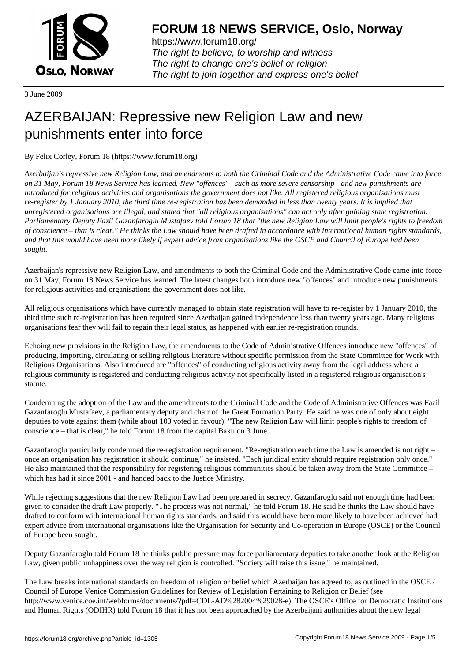

https://www.forum18.org/ The right to believe, to worship and witness The right to change one's belief or religion [The right to join together a](https://www.forum18.org/)nd express one's belief

3 June 2009

# [AZERBAIJAN: R](https://www.forum18.org)epressive new Religion Law and new punishments enter into force

By Felix Corley, Forum 18 (https://www.forum18.org)

*Azerbaijan's repressive new Religion Law, and amendments to both the Criminal Code and the Administrative Code came into force on 31 May, Forum 18 News Service has learned. New "offences" - such as more severe censorship - and new punishments are introduced for religious activities and organisations the government does not like. All registered religious organisations must re-register by 1 January 2010, the third time re-registration has been demanded in less than twenty years. It is implied that unregistered organisations are illegal, and stated that "all religious organisations" can act only after gaining state registration. Parliamentary Deputy Fazil Gazanfaroglu Mustafaev told Forum 18 that "the new Religion Law will limit people's rights to freedom of conscience – that is clear." He thinks the Law should have been drafted in accordance with international human rights standards, and that this would have been more likely if expert advice from organisations like the OSCE and Council of Europe had been sought.*

Azerbaijan's repressive new Religion Law, and amendments to both the Criminal Code and the Administrative Code came into force on 31 May, Forum 18 News Service has learned. The latest changes both introduce new "offences" and introduce new punishments for religious activities and organisations the government does not like.

All religious organisations which have currently managed to obtain state registration will have to re-register by 1 January 2010, the third time such re-registration has been required since Azerbaijan gained independence less than twenty years ago. Many religious organisations fear they will fail to regain their legal status, as happened with earlier re-registration rounds.

Echoing new provisions in the Religion Law, the amendments to the Code of Administrative Offences introduce new "offences" of producing, importing, circulating or selling religious literature without specific permission from the State Committee for Work with Religious Organisations. Also introduced are "offences" of conducting religious activity away from the legal address where a religious community is registered and conducting religious activity not specifically listed in a registered religious organisation's statute.

Condemning the adoption of the Law and the amendments to the Criminal Code and the Code of Administrative Offences was Fazil Gazanfaroglu Mustafaev, a parliamentary deputy and chair of the Great Formation Party. He said he was one of only about eight deputies to vote against them (while about 100 voted in favour). "The new Religion Law will limit people's rights to freedom of conscience – that is clear," he told Forum 18 from the capital Baku on 3 June.

Gazanfaroglu particularly condemned the re-registration requirement. "Re-registration each time the Law is amended is not right – once an organisation has registration it should continue," he insisted. "Each juridical entity should require registration only once." He also maintained that the responsibility for registering religious communities should be taken away from the State Committee – which has had it since 2001 - and handed back to the Justice Ministry.

While rejecting suggestions that the new Religion Law had been prepared in secrecy, Gazanfaroglu said not enough time had been given to consider the draft Law properly. "The process was not normal," he told Forum 18. He said he thinks the Law should have drafted to conform with international human rights standards, and said this would have been more likely to have been achieved had expert advice from international organisations like the Organisation for Security and Co-operation in Europe (OSCE) or the Council of Europe been sought.

Deputy Gazanfaroglu told Forum 18 he thinks public pressure may force parliamentary deputies to take another look at the Religion Law, given public unhappiness over the way religion is controlled. "Society will raise this issue," he maintained.

The Law breaks international standards on freedom of religion or belief which Azerbaijan has agreed to, as outlined in the OSCE / Council of Europe Venice Commission Guidelines for Review of Legislation Pertaining to Religion or Belief (see http://www.venice.coe.int/webforms/documents/?pdf=CDL-AD%282004%29028-e). The OSCE's Office for Democratic Institutions and Human Rights (ODIHR) told Forum 18 that it has not been approached by the Azerbaijani authorities about the new legal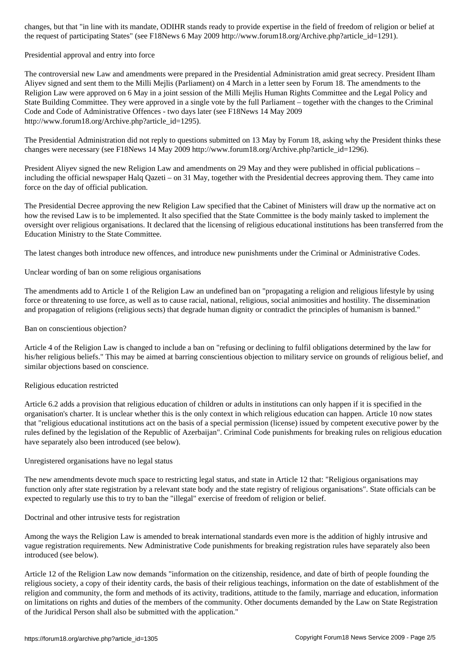the request of participating States" (see F18News 6 May 2009 http://www.forum18.org/Archive.php?article\_id=1291).

### Presidential approval and entry into force

The controversial new Law and amendments were prepared in the Presidential Administration amid great secrecy. President Ilham Aliyev signed and sent them to the Milli Mejlis (Parliament) on 4 March in a letter seen by Forum 18. The amendments to the Religion Law were approved on 6 May in a joint session of the Milli Mejlis Human Rights Committee and the Legal Policy and State Building Committee. They were approved in a single vote by the full Parliament – together with the changes to the Criminal Code and Code of Administrative Offences - two days later (see F18News 14 May 2009 http://www.forum18.org/Archive.php?article\_id=1295).

The Presidential Administration did not reply to questions submitted on 13 May by Forum 18, asking why the President thinks these changes were necessary (see F18News 14 May 2009 http://www.forum18.org/Archive.php?article\_id=1296).

President Aliyev signed the new Religion Law and amendments on 29 May and they were published in official publications – including the official newspaper Halq Qazeti – on 31 May, together with the Presidential decrees approving them. They came into force on the day of official publication.

The Presidential Decree approving the new Religion Law specified that the Cabinet of Ministers will draw up the normative act on how the revised Law is to be implemented. It also specified that the State Committee is the body mainly tasked to implement the oversight over religious organisations. It declared that the licensing of religious educational institutions has been transferred from the Education Ministry to the State Committee.

The latest changes both introduce new offences, and introduce new punishments under the Criminal or Administrative Codes.

Unclear wording of ban on some religious organisations

The amendments add to Article 1 of the Religion Law an undefined ban on "propagating a religion and religious lifestyle by using force or threatening to use force, as well as to cause racial, national, religious, social animosities and hostility. The dissemination and propagation of religions (religious sects) that degrade human dignity or contradict the principles of humanism is banned."

### Ban on conscientious objection?

Article 4 of the Religion Law is changed to include a ban on "refusing or declining to fulfil obligations determined by the law for his/her religious beliefs." This may be aimed at barring conscientious objection to military service on grounds of religious belief, and similar objections based on conscience.

# Religious education restricted

Article 6.2 adds a provision that religious education of children or adults in institutions can only happen if it is specified in the organisation's charter. It is unclear whether this is the only context in which religious education can happen. Article 10 now states that "religious educational institutions act on the basis of a special permission (license) issued by competent executive power by the rules defined by the legislation of the Republic of Azerbaijan". Criminal Code punishments for breaking rules on religious education have separately also been introduced (see below).

# Unregistered organisations have no legal status

The new amendments devote much space to restricting legal status, and state in Article 12 that: "Religious organisations may function only after state registration by a relevant state body and the state registry of religious organisations". State officials can be expected to regularly use this to try to ban the "illegal" exercise of freedom of religion or belief.

Doctrinal and other intrusive tests for registration

Among the ways the Religion Law is amended to break international standards even more is the addition of highly intrusive and vague registration requirements. New Administrative Code punishments for breaking registration rules have separately also been introduced (see below).

Article 12 of the Religion Law now demands "information on the citizenship, residence, and date of birth of people founding the religious society, a copy of their identity cards, the basis of their religious teachings, information on the date of establishment of the religion and community, the form and methods of its activity, traditions, attitude to the family, marriage and education, information on limitations on rights and duties of the members of the community. Other documents demanded by the Law on State Registration of the Juridical Person shall also be submitted with the application."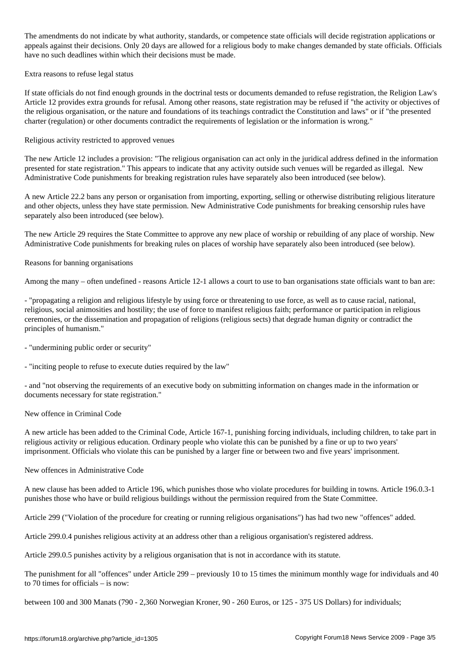The amendments do not indicate by what authority, state of indicate registrations or competence state registrations or competence state  $\omega$ appeals against their decisions. Only 20 days are allowed for a religious body to make changes demanded by state officials. Officials have no such deadlines within which their decisions must be made.

Extra reasons to refuse legal status

If state officials do not find enough grounds in the doctrinal tests or documents demanded to refuse registration, the Religion Law's Article 12 provides extra grounds for refusal. Among other reasons, state registration may be refused if "the activity or objectives of the religious organisation, or the nature and foundations of its teachings contradict the Constitution and laws" or if "the presented charter (regulation) or other documents contradict the requirements of legislation or the information is wrong."

Religious activity restricted to approved venues

The new Article 12 includes a provision: "The religious organisation can act only in the juridical address defined in the information presented for state registration." This appears to indicate that any activity outside such venues will be regarded as illegal. New Administrative Code punishments for breaking registration rules have separately also been introduced (see below).

A new Article 22.2 bans any person or organisation from importing, exporting, selling or otherwise distributing religious literature and other objects, unless they have state permission. New Administrative Code punishments for breaking censorship rules have separately also been introduced (see below).

The new Article 29 requires the State Committee to approve any new place of worship or rebuilding of any place of worship. New Administrative Code punishments for breaking rules on places of worship have separately also been introduced (see below).

Reasons for banning organisations

Among the many – often undefined - reasons Article 12-1 allows a court to use to ban organisations state officials want to ban are:

- "propagating a religion and religious lifestyle by using force or threatening to use force, as well as to cause racial, national, religious, social animosities and hostility; the use of force to manifest religious faith; performance or participation in religious ceremonies, or the dissemination and propagation of religions (religious sects) that degrade human dignity or contradict the principles of humanism."

- "undermining public order or security"

- "inciting people to refuse to execute duties required by the law"

- and "not observing the requirements of an executive body on submitting information on changes made in the information or documents necessary for state registration."

New offence in Criminal Code

A new article has been added to the Criminal Code, Article 167-1, punishing forcing individuals, including children, to take part in religious activity or religious education. Ordinary people who violate this can be punished by a fine or up to two years' imprisonment. Officials who violate this can be punished by a larger fine or between two and five years' imprisonment.

New offences in Administrative Code

A new clause has been added to Article 196, which punishes those who violate procedures for building in towns. Article 196.0.3-1 punishes those who have or build religious buildings without the permission required from the State Committee.

Article 299 ("Violation of the procedure for creating or running religious organisations") has had two new "offences" added.

Article 299.0.4 punishes religious activity at an address other than a religious organisation's registered address.

Article 299.0.5 punishes activity by a religious organisation that is not in accordance with its statute.

The punishment for all "offences" under Article 299 – previously 10 to 15 times the minimum monthly wage for individuals and 40 to 70 times for officials – is now:

between 100 and 300 Manats (790 - 2,360 Norwegian Kroner, 90 - 260 Euros, or 125 - 375 US Dollars) for individuals;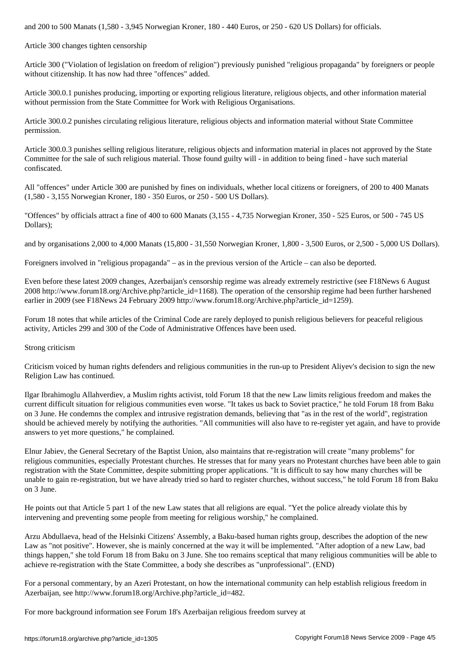Article 300 changes tighten censorship

Article 300 ("Violation of legislation on freedom of religion") previously punished "religious propaganda" by foreigners or people without citizenship. It has now had three "offences" added.

Article 300.0.1 punishes producing, importing or exporting religious literature, religious objects, and other information material without permission from the State Committee for Work with Religious Organisations.

Article 300.0.2 punishes circulating religious literature, religious objects and information material without State Committee permission.

Article 300.0.3 punishes selling religious literature, religious objects and information material in places not approved by the State Committee for the sale of such religious material. Those found guilty will - in addition to being fined - have such material confiscated.

All "offences" under Article 300 are punished by fines on individuals, whether local citizens or foreigners, of 200 to 400 Manats (1,580 - 3,155 Norwegian Kroner, 180 - 350 Euros, or 250 - 500 US Dollars).

"Offences" by officials attract a fine of 400 to 600 Manats (3,155 - 4,735 Norwegian Kroner, 350 - 525 Euros, or 500 - 745 US Dollars);

and by organisations 2,000 to 4,000 Manats (15,800 - 31,550 Norwegian Kroner, 1,800 - 3,500 Euros, or 2,500 - 5,000 US Dollars).

Foreigners involved in "religious propaganda" – as in the previous version of the Article – can also be deported.

Even before these latest 2009 changes, Azerbaijan's censorship regime was already extremely restrictive (see F18News 6 August  $2008$  http://www.forum18.org/Archive.php?article  $id=1168$ ). The operation of the censorship regime had been further harshened earlier in 2009 (see F18News 24 February 2009 http://www.forum18.org/Archive.php?article\_id=1259).

Forum 18 notes that while articles of the Criminal Code are rarely deployed to punish religious believers for peaceful religious activity, Articles 299 and 300 of the Code of Administrative Offences have been used.

#### Strong criticism

Criticism voiced by human rights defenders and religious communities in the run-up to President Aliyev's decision to sign the new Religion Law has continued.

Ilgar Ibrahimoglu Allahverdiev, a Muslim rights activist, told Forum 18 that the new Law limits religious freedom and makes the current difficult situation for religious communities even worse. "It takes us back to Soviet practice," he told Forum 18 from Baku on 3 June. He condemns the complex and intrusive registration demands, believing that "as in the rest of the world", registration should be achieved merely by notifying the authorities. "All communities will also have to re-register yet again, and have to provide answers to yet more questions," he complained.

Elnur Jabiev, the General Secretary of the Baptist Union, also maintains that re-registration will create "many problems" for religious communities, especially Protestant churches. He stresses that for many years no Protestant churches have been able to gain registration with the State Committee, despite submitting proper applications. "It is difficult to say how many churches will be unable to gain re-registration, but we have already tried so hard to register churches, without success," he told Forum 18 from Baku on 3 June.

He points out that Article 5 part 1 of the new Law states that all religions are equal. "Yet the police already violate this by intervening and preventing some people from meeting for religious worship," he complained.

Arzu Abdullaeva, head of the Helsinki Citizens' Assembly, a Baku-based human rights group, describes the adoption of the new Law as "not positive". However, she is mainly concerned at the way it will be implemented. "After adoption of a new Law, bad things happen," she told Forum 18 from Baku on 3 June. She too remains sceptical that many religious communities will be able to achieve re-registration with the State Committee, a body she describes as "unprofessional". (END)

For a personal commentary, by an Azeri Protestant, on how the international community can help establish religious freedom in Azerbaijan, see http://www.forum18.org/Archive.php?article\_id=482.

For more background information see Forum 18's Azerbaijan religious freedom survey at